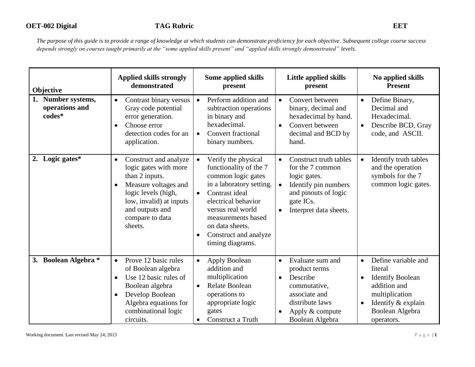| Objective                                      | <b>Applied skills strongly</b><br>demonstrated                                                                                                                                                           | Some applied skills<br>present                                                                                                                                                                                                                                   | Little applied skills<br>present                                                                                                                                                         | No applied skills<br><b>Present</b>                                                                                                                                                       |
|------------------------------------------------|----------------------------------------------------------------------------------------------------------------------------------------------------------------------------------------------------------|------------------------------------------------------------------------------------------------------------------------------------------------------------------------------------------------------------------------------------------------------------------|------------------------------------------------------------------------------------------------------------------------------------------------------------------------------------------|-------------------------------------------------------------------------------------------------------------------------------------------------------------------------------------------|
| 1. Number systems,<br>operations and<br>codes* | Contrast binary versus<br>$\bullet$<br>Gray code potential<br>error generation.<br>Choose error<br>$\bullet$<br>detection codes for an<br>application.                                                   | Perform addition and<br>$\bullet$<br>subtraction operations<br>in binary and<br>hexadecimal.<br><b>Convert fractional</b><br>$\bullet$<br>binary numbers.                                                                                                        | Convert between<br>$\bullet$<br>binary, decimal and<br>hexadecimal by hand.<br>Convert between<br>$\bullet$<br>decimal and BCD by<br>hand.                                               | Define Binary,<br>$\bullet$<br>Decimal and<br>Hexadecimal.<br>Describe BCD, Gray<br>$\bullet$<br>code, and ASCII.                                                                         |
| 2. Logic gates*                                | Construct and analyze<br>$\bullet$<br>logic gates with more<br>than 2 inputs.<br>Measure voltages and<br>logic levels (high,<br>low, invalid) at inputs<br>and outputs and<br>compare to data<br>sheets. | Verify the physical<br>functionality of the 7<br>common logic gates<br>in a laboratory setting.<br>Contrast ideal<br>$\bullet$<br>electrical behavior<br>versus real world<br>measurements based<br>on data sheets.<br>Construct and analyze<br>timing diagrams. | Construct truth tables<br>$\bullet$<br>for the 7 common<br>logic gates.<br>Identify pin numbers<br>$\bullet$<br>and pinouts of logic<br>gate ICs.<br>Interpret data sheets.<br>$\bullet$ | Identify truth tables<br>$\bullet$<br>and the operation<br>symbols for the 7<br>common logic gates.                                                                                       |
| 3. Boolean Algebra *                           | Prove 12 basic rules<br>$\bullet$<br>of Boolean algebra<br>Use 12 basic rules of<br>Boolean algebra<br>Develop Boolean<br>$\bullet$<br>Algebra equations for<br>combinational logic<br>circuits.         | Apply Boolean<br>$\bullet$<br>addition and<br>multiplication<br>Relate Boolean<br>$\bullet$<br>operations to<br>appropriate logic<br>gates<br>Construct a Truth<br>$\bullet$                                                                                     | Evaluate sum and<br>$\bullet$<br>product terms<br>Describe<br>$\bullet$<br>commutative,<br>associate and<br>distribute laws<br>Apply & compute<br>Boolean Algebra                        | Define variable and<br>$\bullet$<br>literal<br><b>Identify Boolean</b><br>$\bullet$<br>addition and<br>multiplication<br>Identify & explain<br>$\bullet$<br>Boolean Algebra<br>operators. |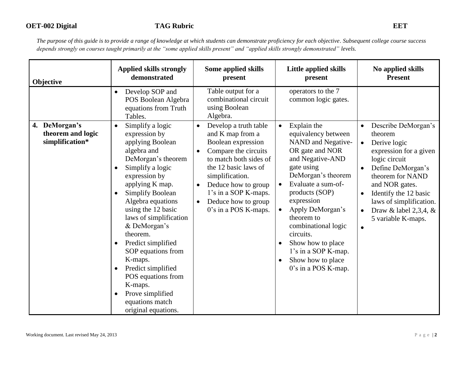| Objective                                                | <b>Applied skills strongly</b><br>demonstrated                                                                                                                                                                                                                                                                                                                                                                                                                                                    | Some applied skills<br>present                                                                                                                                                                                                                                                                                 | Little applied skills<br>present                                                                                                                                                                                                                                                                                                                                                                                         | No applied skills<br><b>Present</b>                                                                                                                                                                                                                                                            |
|----------------------------------------------------------|---------------------------------------------------------------------------------------------------------------------------------------------------------------------------------------------------------------------------------------------------------------------------------------------------------------------------------------------------------------------------------------------------------------------------------------------------------------------------------------------------|----------------------------------------------------------------------------------------------------------------------------------------------------------------------------------------------------------------------------------------------------------------------------------------------------------------|--------------------------------------------------------------------------------------------------------------------------------------------------------------------------------------------------------------------------------------------------------------------------------------------------------------------------------------------------------------------------------------------------------------------------|------------------------------------------------------------------------------------------------------------------------------------------------------------------------------------------------------------------------------------------------------------------------------------------------|
|                                                          | Develop SOP and<br>$\bullet$<br>POS Boolean Algebra<br>equations from Truth<br>Tables.                                                                                                                                                                                                                                                                                                                                                                                                            | Table output for a<br>combinational circuit<br>using Boolean<br>Algebra.                                                                                                                                                                                                                                       | operators to the 7<br>common logic gates.                                                                                                                                                                                                                                                                                                                                                                                |                                                                                                                                                                                                                                                                                                |
| DeMorgan's<br>4.<br>theorem and logic<br>simplification* | Simplify a logic<br>$\bullet$<br>expression by<br>applying Boolean<br>algebra and<br>DeMorgan's theorem<br>Simplify a logic<br>$\bullet$<br>expression by<br>applying K map.<br><b>Simplify Boolean</b><br>Algebra equations<br>using the 12 basic<br>laws of simplification<br>& DeMorgan's<br>theorem.<br>Predict simplified<br>SOP equations from<br>K-maps.<br>Predict simplified<br>POS equations from<br>K-maps.<br>Prove simplified<br>$\bullet$<br>equations match<br>original equations. | Develop a truth table<br>$\bullet$<br>and K map from a<br>Boolean expression<br>Compare the circuits<br>$\bullet$<br>to match both sides of<br>the 12 basic laws of<br>simplification.<br>Deduce how to group<br>$\bullet$<br>1's in a SOP K-maps.<br>Deduce how to group<br>$\bullet$<br>0's in a POS K-maps. | Explain the<br>$\bullet$<br>equivalency between<br>NAND and Negative-<br>OR gate and NOR<br>and Negative-AND<br>gate using<br>DeMorgan's theorem<br>Evaluate a sum-of-<br>$\bullet$<br>products (SOP)<br>expression<br>Apply DeMorgan's<br>$\bullet$<br>theorem to<br>combinational logic<br>circuits.<br>Show how to place<br>$\bullet$<br>1's in a SOP K-map.<br>Show how to place<br>$\bullet$<br>0's in a POS K-map. | Describe DeMorgan's<br>$\bullet$<br>theorem<br>Derive logic<br>$\bullet$<br>expression for a given<br>logic circuit<br>Define DeMorgan's<br>theorem for NAND<br>and NOR gates.<br>Identify the 12 basic<br>laws of simplification.<br>Draw & label 2,3,4, &<br>5 variable K-maps.<br>$\bullet$ |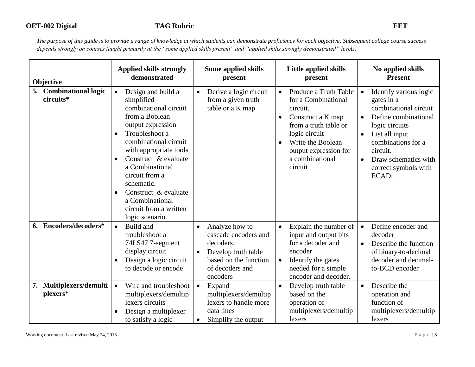| Objective                           | <b>Applied skills strongly</b><br>demonstrated                                                                                                                                                                                                                                                                                                                                  | Some applied skills<br>present                                                                                                                               | Little applied skills<br>present                                                                                                                                                                                              | No applied skills<br><b>Present</b>                                                                                                                                                                                                            |
|-------------------------------------|---------------------------------------------------------------------------------------------------------------------------------------------------------------------------------------------------------------------------------------------------------------------------------------------------------------------------------------------------------------------------------|--------------------------------------------------------------------------------------------------------------------------------------------------------------|-------------------------------------------------------------------------------------------------------------------------------------------------------------------------------------------------------------------------------|------------------------------------------------------------------------------------------------------------------------------------------------------------------------------------------------------------------------------------------------|
| 5. Combinational logic<br>circuits* | Design and build a<br>$\bullet$<br>simplified<br>combinational circuit<br>from a Boolean<br>output expression<br>Troubleshoot a<br>$\bullet$<br>combinational circuit<br>with appropriate tools<br>Construct & evaluate<br>$\bullet$<br>a Combinational<br>circuit from a<br>schematic.<br>Construct & evaluate<br>a Combinational<br>circuit from a written<br>logic scenario. | Derive a logic circuit<br>$\bullet$<br>from a given truth<br>table or a K map                                                                                | Produce a Truth Table<br>for a Combinational<br>circuit.<br>Construct a K map<br>$\bullet$<br>from a truth table or<br>logic circuit<br>Write the Boolean<br>$\bullet$<br>output expression for<br>a combinational<br>circuit | Identify various logic<br>gates in a<br>combinational circuit<br>Define combinational<br>$\bullet$<br>logic circuits<br>List all input<br>combinations for a<br>circuit.<br>Draw schematics with<br>$\bullet$<br>correct symbols with<br>ECAD. |
| 6. Encoders/decoders*               | Build and<br>$\bullet$<br>troubleshoot a<br>74LS47 7-segment<br>display circuit<br>Design a logic circuit<br>to decode or encode                                                                                                                                                                                                                                                | Analyze how to<br>$\bullet$<br>cascade encoders and<br>decoders.<br>Develop truth table<br>$\bullet$<br>based on the function<br>of decoders and<br>encoders | Explain the number of<br>$\bullet$<br>input and output bits<br>for a decoder and<br>encoder<br>Identify the gates<br>$\bullet$<br>needed for a simple<br>encoder and decoder.                                                 | Define encoder and<br>$\bullet$<br>decoder<br>Describe the function<br>$\bullet$<br>of binary-to-decimal<br>decoder and decimal-<br>to-BCD encoder                                                                                             |
| 7. Multiplexers/demulti<br>plexers* | Wire and troubleshoot<br>$\bullet$<br>multiplexers/demultip<br>lexers circuits<br>Design a multiplexer<br>to satisfy a logic                                                                                                                                                                                                                                                    | Expand<br>$\bullet$<br>multiplexers/demultip<br>lexers to handle more<br>data lines<br>Simplify the output<br>$\bullet$                                      | Develop truth table<br>$\bullet$<br>based on the<br>operation of<br>multiplexers/demultip<br>lexers                                                                                                                           | Describe the<br>$\bullet$<br>operation and<br>function of<br>multiplexers/demultip<br>lexers                                                                                                                                                   |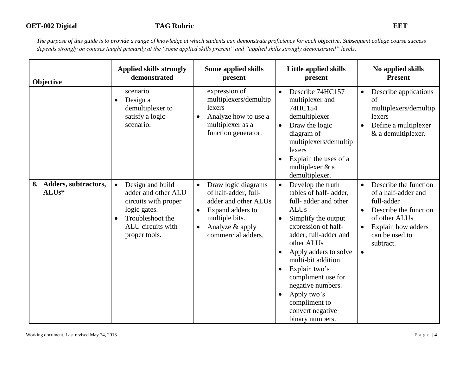| Objective                                     | <b>Applied skills strongly</b><br>demonstrated                                                                                                         | Some applied skills<br>present                                                                                                                                                            | <b>Little applied skills</b><br>present                                                                                                                                                                                                                                                                                                                                                                                    | No applied skills<br><b>Present</b>                                                                                                                                                 |
|-----------------------------------------------|--------------------------------------------------------------------------------------------------------------------------------------------------------|-------------------------------------------------------------------------------------------------------------------------------------------------------------------------------------------|----------------------------------------------------------------------------------------------------------------------------------------------------------------------------------------------------------------------------------------------------------------------------------------------------------------------------------------------------------------------------------------------------------------------------|-------------------------------------------------------------------------------------------------------------------------------------------------------------------------------------|
|                                               | scenario.<br>Design a<br>$\bullet$<br>demultiplexer to<br>satisfy a logic<br>scenario.                                                                 | expression of<br>multiplexers/demultip<br>lexers<br>Analyze how to use a<br>$\bullet$<br>multiplexer as a<br>function generator.                                                          | Describe 74HC157<br>multiplexer and<br>74HC154<br>demultiplexer<br>Draw the logic<br>$\bullet$<br>diagram of<br>multiplexers/demultip<br>lexers<br>Explain the uses of a<br>multiplexer & a<br>demultiplexer.                                                                                                                                                                                                              | Describe applications<br>$\bullet$<br>of<br>multiplexers/demultip<br>lexers<br>Define a multiplexer<br>& a demultiplexer.                                                           |
| 8. Adders, subtractors,<br>ALU <sub>s</sub> * | Design and build<br>$\bullet$<br>adder and other ALU<br>circuits with proper<br>logic gates.<br>Troubleshoot the<br>ALU circuits with<br>proper tools. | Draw logic diagrams<br>$\bullet$<br>of half-adder, full-<br>adder and other ALUs<br>Expand adders to<br>$\bullet$<br>multiple bits.<br>Analyze & apply<br>$\bullet$<br>commercial adders. | Develop the truth<br>$\bullet$<br>tables of half-adder,<br>full-adder and other<br><b>ALUs</b><br>Simplify the output<br>$\bullet$<br>expression of half-<br>adder, full-adder and<br>other ALUs<br>Apply adders to solve<br>$\bullet$<br>multi-bit addition.<br>Explain two's<br>$\bullet$<br>compliment use for<br>negative numbers.<br>Apply two's<br>$\bullet$<br>compliment to<br>convert negative<br>binary numbers. | Describe the function<br>$\bullet$<br>of a half-adder and<br>full-adder<br>Describe the function<br>of other ALUs<br>Explain how adders<br>$\bullet$<br>can be used to<br>subtract. |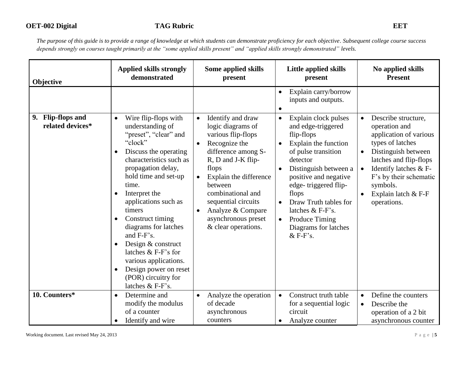# **OET-002 Digital TAG Rubric EET**

| Objective                                       | <b>Applied skills strongly</b><br>demonstrated                                                                                                                                                                                                                                                                                                                                                                                                                | Some applied skills<br>present                                                                                                                                                                                                                                                                                                 | Little applied skills<br>present                                                                                                                                                                                                                                                                                                                                | No applied skills<br><b>Present</b>                                                                                                                                                                                                                   |
|-------------------------------------------------|---------------------------------------------------------------------------------------------------------------------------------------------------------------------------------------------------------------------------------------------------------------------------------------------------------------------------------------------------------------------------------------------------------------------------------------------------------------|--------------------------------------------------------------------------------------------------------------------------------------------------------------------------------------------------------------------------------------------------------------------------------------------------------------------------------|-----------------------------------------------------------------------------------------------------------------------------------------------------------------------------------------------------------------------------------------------------------------------------------------------------------------------------------------------------------------|-------------------------------------------------------------------------------------------------------------------------------------------------------------------------------------------------------------------------------------------------------|
|                                                 |                                                                                                                                                                                                                                                                                                                                                                                                                                                               |                                                                                                                                                                                                                                                                                                                                | Explain carry/borrow<br>inputs and outputs.<br>$\bullet$                                                                                                                                                                                                                                                                                                        |                                                                                                                                                                                                                                                       |
| <b>Flip-flops and</b><br>9.<br>related devices* | Wire flip-flops with<br>$\bullet$<br>understanding of<br>"preset", "clear" and<br>"clock"<br>Discuss the operating<br>characteristics such as<br>propagation delay,<br>hold time and set-up<br>time.<br>Interpret the<br>applications such as<br>timers<br>Construct timing<br>diagrams for latches<br>and F-F's.<br>Design & construct<br>latches $&$ F-F's for<br>various applications.<br>Design power on reset<br>(POR) circuitry for<br>latches & F-F's. | Identify and draw<br>$\bullet$<br>logic diagrams of<br>various flip-flops<br>Recognize the<br>$\bullet$<br>difference among S-<br>R, D and J-K flip-<br>flops<br>Explain the difference<br>between<br>combinational and<br>sequential circuits<br>Analyze & Compare<br>$\bullet$<br>asynchronous preset<br>& clear operations. | Explain clock pulses<br>$\bullet$<br>and edge-triggered<br>flip-flops<br>Explain the function<br>$\bullet$<br>of pulse transition<br>detector<br>Distinguish between a<br>positive and negative<br>edge-triggered flip-<br>flops<br>Draw Truth tables for<br>$\bullet$<br>latches & F-F's.<br>Produce Timing<br>$\bullet$<br>Diagrams for latches<br>$&$ F-F's. | Describe structure,<br>$\bullet$<br>operation and<br>application of various<br>types of latches<br>Distinguish between<br>latches and flip-flops<br>Identify latches & F-<br>F's by their schematic<br>symbols.<br>Explain latch & F-F<br>operations. |
| 10. Counters*                                   | Determine and<br>$\bullet$<br>modify the modulus<br>of a counter<br>Identify and wire                                                                                                                                                                                                                                                                                                                                                                         | Analyze the operation<br>$\bullet$<br>of decade<br>asynchronous<br>counters                                                                                                                                                                                                                                                    | Construct truth table<br>$\bullet$<br>for a sequential logic<br>circuit<br>Analyze counter<br>$\bullet$                                                                                                                                                                                                                                                         | Define the counters<br>$\bullet$<br>Describe the<br>operation of a 2 bit<br>asynchronous counter                                                                                                                                                      |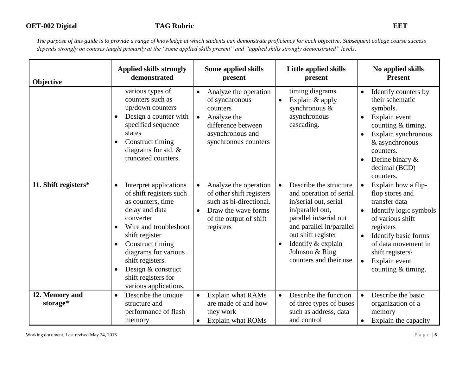| Objective                  | <b>Applied skills strongly</b><br>demonstrated                                                                                                                                                                                                                                                      | Some applied skills<br>present                                                                                                                                       | <b>Little applied skills</b><br>present                                                                                                                                                                                                                    | No applied skills<br><b>Present</b>                                                                                                                                                                                                                                   |
|----------------------------|-----------------------------------------------------------------------------------------------------------------------------------------------------------------------------------------------------------------------------------------------------------------------------------------------------|----------------------------------------------------------------------------------------------------------------------------------------------------------------------|------------------------------------------------------------------------------------------------------------------------------------------------------------------------------------------------------------------------------------------------------------|-----------------------------------------------------------------------------------------------------------------------------------------------------------------------------------------------------------------------------------------------------------------------|
|                            | various types of<br>counters such as<br>up/down counters<br>Design a counter with<br>specified sequence<br>states<br>Construct timing<br>diagrams for std. $&$<br>truncated counters.                                                                                                               | Analyze the operation<br>$\bullet$<br>of synchronous<br>counters<br>Analyze the<br>$\bullet$<br>difference between<br>asynchronous and<br>synchronous counters       | timing diagrams<br>Explain & apply<br>$\bullet$<br>synchronous &<br>asynchronous<br>cascading.                                                                                                                                                             | Identify counters by<br>$\bullet$<br>their schematic<br>symbols.<br>Explain event<br>$\bullet$<br>counting $&$ timing.<br>Explain synchronous<br>& asynchronous<br>counters.<br>Define binary $\&$<br>$\bullet$<br>decimal (BCD)<br>counters.                         |
| 11. Shift registers*       | Interpret applications<br>$\bullet$<br>of shift registers such<br>as counters, time<br>delay and data<br>converter<br>Wire and troubleshoot<br>shift register<br>Construct timing<br>diagrams for various<br>shift registers.<br>Design & construct<br>shift registers for<br>various applications. | Analyze the operation<br>$\bullet$<br>of other shift registers<br>such as bi-directional.<br>Draw the wave forms<br>$\bullet$<br>of the output of shift<br>registers | Describe the structure<br>$\bullet$<br>and operation of serial<br>in/serial out, serial<br>in/parallel out,<br>parallel in/serial out<br>and parallel in/parallel<br>out shift register<br>Identify & explain<br>Johnson & Ring<br>counters and their use. | Explain how a flip-<br>$\bullet$<br>flop stores and<br>transfer data<br>Identify logic symbols<br>of various shift<br>registers<br>Identify basic forms<br>$\bullet$<br>of data movement in<br>shift registers\<br>Explain event<br>$\bullet$<br>counting $&$ timing. |
| 12. Memory and<br>storage* | Describe the unique<br>$\bullet$<br>structure and<br>performance of flash<br>memory                                                                                                                                                                                                                 | Explain what RAMs<br>$\bullet$<br>are made of and how<br>they work<br><b>Explain what ROMs</b><br>$\bullet$                                                          | Describe the function<br>$\bullet$<br>of three types of buses<br>such as address, data<br>and control                                                                                                                                                      | Describe the basic<br>$\bullet$<br>organization of a<br>memory<br>Explain the capacity<br>$\bullet$                                                                                                                                                                   |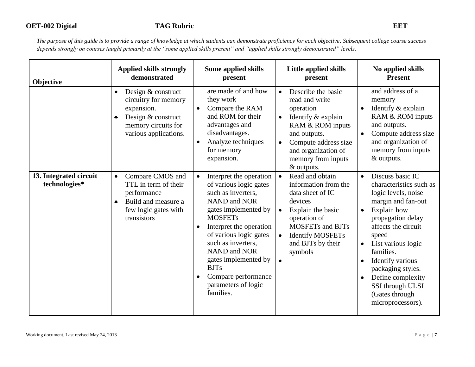| Objective                               | <b>Applied skills strongly</b><br>demonstrated                                                                                              | Some applied skills<br>present                                                                                                                                                                                                                                                                                                                            | Little applied skills<br>present                                                                                                                                                                                                                      | No applied skills<br><b>Present</b>                                                                                                                                                                                                                                                                                                                             |
|-----------------------------------------|---------------------------------------------------------------------------------------------------------------------------------------------|-----------------------------------------------------------------------------------------------------------------------------------------------------------------------------------------------------------------------------------------------------------------------------------------------------------------------------------------------------------|-------------------------------------------------------------------------------------------------------------------------------------------------------------------------------------------------------------------------------------------------------|-----------------------------------------------------------------------------------------------------------------------------------------------------------------------------------------------------------------------------------------------------------------------------------------------------------------------------------------------------------------|
|                                         | Design & construct<br>$\bullet$<br>circuitry for memory<br>expansion.<br>Design & construct<br>memory circuits for<br>various applications. | are made of and how<br>they work<br>Compare the RAM<br>$\bullet$<br>and ROM for their<br>advantages and<br>disadvantages.<br>Analyze techniques<br>for memory<br>expansion.                                                                                                                                                                               | Describe the basic<br>$\bullet$<br>read and write<br>operation<br>Identify & explain<br>RAM & ROM inputs<br>and outputs.<br>Compute address size<br>$\bullet$<br>and organization of<br>memory from inputs<br>& outputs.                              | and address of a<br>memory<br>Identify & explain<br>RAM & ROM inputs<br>and outputs.<br>Compute address size<br>and organization of<br>memory from inputs<br>& outputs.                                                                                                                                                                                         |
| 13. Integrated circuit<br>technologies* | Compare CMOS and<br>$\bullet$<br>TTL in term of their<br>performance<br>Build and measure a<br>few logic gates with<br>transistors          | Interpret the operation<br>$\bullet$<br>of various logic gates<br>such as inverters,<br><b>NAND</b> and NOR<br>gates implemented by<br><b>MOSFETs</b><br>Interpret the operation<br>of various logic gates<br>such as inverters,<br><b>NAND</b> and NOR<br>gates implemented by<br><b>BJTs</b><br>Compare performance<br>parameters of logic<br>families. | Read and obtain<br>$\bullet$<br>information from the<br>data sheet of IC<br>devices<br>Explain the basic<br>$\bullet$<br>operation of<br><b>MOSFETs and BJTs</b><br><b>Identify MOSFETs</b><br>$\bullet$<br>and BJTs by their<br>symbols<br>$\bullet$ | Discuss basic IC<br>$\bullet$<br>characteristics such as<br>logic levels, noise<br>margin and fan-out<br>Explain how<br>$\bullet$<br>propagation delay<br>affects the circuit<br>speed<br>List various logic<br>$\bullet$<br>families.<br>Identify various<br>packaging styles.<br>Define complexity<br>SSI through ULSI<br>(Gates through<br>microprocessors). |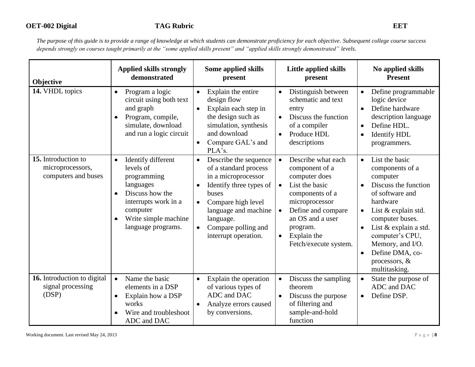| Objective                                                      | <b>Applied skills strongly</b><br>demonstrated                                                                                                                                             | Some applied skills<br>present                                                                                                                                                                                                                             | Little applied skills<br>present                                                                                                                                                                                                                               | No applied skills<br><b>Present</b>                                                                                                                                                                                                                                                                                                  |
|----------------------------------------------------------------|--------------------------------------------------------------------------------------------------------------------------------------------------------------------------------------------|------------------------------------------------------------------------------------------------------------------------------------------------------------------------------------------------------------------------------------------------------------|----------------------------------------------------------------------------------------------------------------------------------------------------------------------------------------------------------------------------------------------------------------|--------------------------------------------------------------------------------------------------------------------------------------------------------------------------------------------------------------------------------------------------------------------------------------------------------------------------------------|
| 14. VHDL topics                                                | Program a logic<br>$\bullet$<br>circuit using both text<br>and graph<br>Program, compile,<br>simulate, download<br>and run a logic circuit                                                 | Explain the entire<br>$\bullet$<br>design flow<br>Explain each step in<br>the design such as<br>simulation, synthesis<br>and download<br>Compare GAL's and<br>$\bullet$<br>PLA's.                                                                          | Distinguish between<br>$\bullet$<br>schematic and text<br>entry<br>Discuss the function<br>$\bullet$<br>of a compiler<br>Produce HDL<br>descriptions                                                                                                           | Define programmable<br>$\bullet$<br>logic device<br>Define hardware<br>$\bullet$<br>description language<br>Define HDL.<br>$\bullet$<br><b>Identify HDL</b><br>$\bullet$<br>programmers.                                                                                                                                             |
| 15. Introduction to<br>microprocessors,<br>computers and buses | Identify different<br>$\bullet$<br>levels of<br>programming<br>languages<br>Discuss how the<br>$\bullet$<br>interrupts work in a<br>computer<br>Write simple machine<br>language programs. | Describe the sequence<br>$\bullet$<br>of a standard process<br>in a microprocessor<br>Identify three types of<br>$\bullet$<br>buses<br>Compare high level<br>language and machine<br>language.<br>Compare polling and<br>$\bullet$<br>interrupt operation. | Describe what each<br>$\bullet$<br>component of a<br>computer does<br>List the basic<br>$\bullet$<br>components of a<br>microprocessor<br>Define and compare<br>$\bullet$<br>an OS and a user<br>program.<br>Explain the<br>$\bullet$<br>Fetch/execute system. | List the basic<br>$\bullet$<br>components of a<br>computer<br>Discuss the function<br>$\bullet$<br>of software and<br>hardware<br>List & explain std.<br>$\bullet$<br>computer buses.<br>List & explain a std.<br>$\bullet$<br>computer's CPU,<br>Memory, and I/O.<br>Define DMA, co-<br>$\bullet$<br>processors, &<br>multitasking. |
| 16. Introduction to digital<br>signal processing<br>(DSP)      | Name the basic<br>$\bullet$<br>elements in a DSP<br>Explain how a DSP<br>$\bullet$<br>works<br>Wire and troubleshoot<br>$\bullet$<br>ADC and DAC                                           | Explain the operation<br>$\bullet$<br>of various types of<br>ADC and DAC<br>Analyze errors caused<br>by conversions.                                                                                                                                       | Discuss the sampling<br>$\bullet$<br>theorem<br>Discuss the purpose<br>$\bullet$<br>of filtering and<br>sample-and-hold<br>function                                                                                                                            | State the purpose of<br>$\bullet$<br>ADC and DAC<br>Define DSP.<br>$\bullet$                                                                                                                                                                                                                                                         |